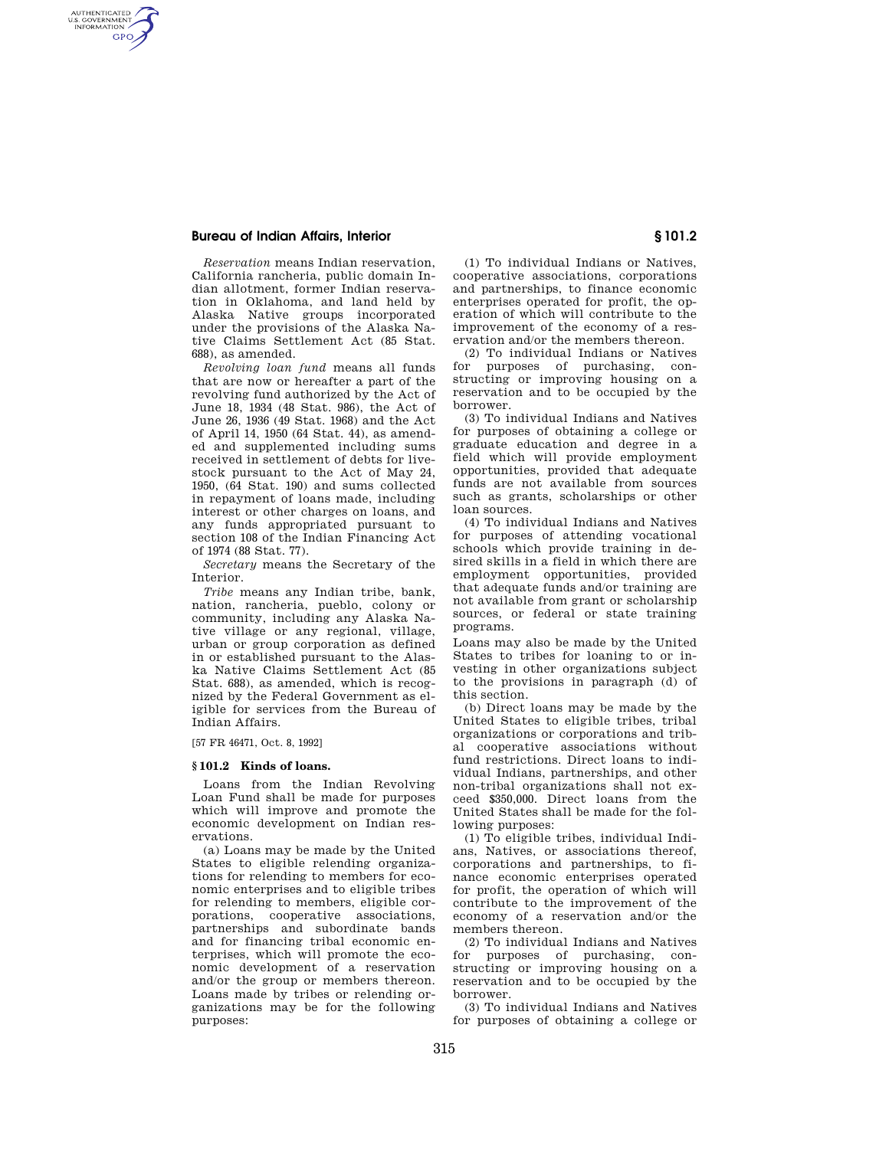## **Bureau of Indian Affairs, Interior § 101.2**

AUTHENTICATED<br>U.S. GOVERNMENT<br>INFORMATION **GPO** 

> *Reservation* means Indian reservation, California rancheria, public domain Indian allotment, former Indian reservation in Oklahoma, and land held by Alaska Native groups incorporated under the provisions of the Alaska Native Claims Settlement Act (85 Stat. 688), as amended.

> *Revolving loan fund* means all funds that are now or hereafter a part of the revolving fund authorized by the Act of June 18, 1934 (48 Stat. 986), the Act of June 26, 1936 (49 Stat. 1968) and the Act of April 14, 1950 (64 Stat. 44), as amended and supplemented including sums received in settlement of debts for livestock pursuant to the Act of May 24, 1950, (64 Stat. 190) and sums collected in repayment of loans made, including interest or other charges on loans, and any funds appropriated pursuant to section 108 of the Indian Financing Act of 1974 (88 Stat. 77).

*Secretary* means the Secretary of the Interior.

*Tribe* means any Indian tribe, bank, nation, rancheria, pueblo, colony or community, including any Alaska Native village or any regional, village, urban or group corporation as defined in or established pursuant to the Alaska Native Claims Settlement Act (85 Stat. 688), as amended, which is recognized by the Federal Government as eligible for services from the Bureau of Indian Affairs.

[57 FR 46471, Oct. 8, 1992]

## **§ 101.2 Kinds of loans.**

Loans from the Indian Revolving Loan Fund shall be made for purposes which will improve and promote the economic development on Indian reservations.

(a) Loans may be made by the United States to eligible relending organizations for relending to members for economic enterprises and to eligible tribes for relending to members, eligible corporations, cooperative associations, partnerships and subordinate bands and for financing tribal economic enterprises, which will promote the economic development of a reservation and/or the group or members thereon. Loans made by tribes or relending organizations may be for the following purposes:

(1) To individual Indians or Natives, cooperative associations, corporations and partnerships, to finance economic enterprises operated for profit, the operation of which will contribute to the improvement of the economy of a reservation and/or the members thereon.

(2) To individual Indians or Natives for purposes of purchasing, constructing or improving housing on a reservation and to be occupied by the borrower.

(3) To individual Indians and Natives for purposes of obtaining a college or graduate education and degree in a field which will provide employment opportunities, provided that adequate funds are not available from sources such as grants, scholarships or other loan sources.

(4) To individual Indians and Natives for purposes of attending vocational schools which provide training in desired skills in a field in which there are employment opportunities, provided that adequate funds and/or training are not available from grant or scholarship sources, or federal or state training programs.

Loans may also be made by the United States to tribes for loaning to or investing in other organizations subject to the provisions in paragraph (d) of this section.

(b) Direct loans may be made by the United States to eligible tribes, tribal organizations or corporations and tribal cooperative associations without fund restrictions. Direct loans to individual Indians, partnerships, and other non-tribal organizations shall not exceed \$350,000. Direct loans from the United States shall be made for the following purposes:

(1) To eligible tribes, individual Indians, Natives, or associations thereof, corporations and partnerships, to finance economic enterprises operated for profit, the operation of which will contribute to the improvement of the economy of a reservation and/or the members thereon.

(2) To individual Indians and Natives for purposes of purchasing, constructing or improving housing on a reservation and to be occupied by the borrower.

(3) To individual Indians and Natives for purposes of obtaining a college or